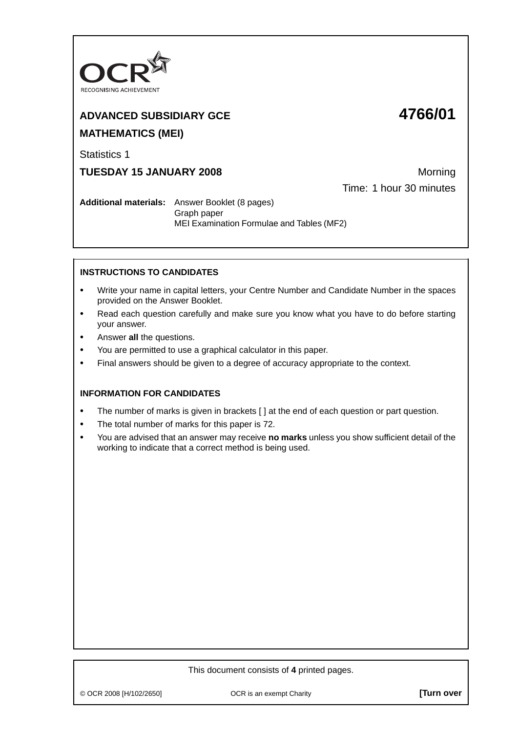

# **ADVANCED SUBSIDIARY GCE 4766/01**

# **MATHEMATICS (MEI)**

Statistics 1

**TUESDAY 15 JANUARY 2008** Morning

Time: 1 hour 30 minutes

**Additional materials:** Answer Booklet (8 pages) Graph paper MEI Examination Formulae and Tables (MF2)

# **INSTRUCTIONS TO CANDIDATES**

- **•** Write your name in capital letters, your Centre Number and Candidate Number in the spaces provided on the Answer Booklet.
- **•** Read each question carefully and make sure you know what you have to do before starting your answer.
- **•** Answer **all** the questions.
- **•** You are permitted to use a graphical calculator in this paper.
- **•** Final answers should be given to a degree of accuracy appropriate to the context.

## **INFORMATION FOR CANDIDATES**

- The number of marks is given in brackets [ ] at the end of each question or part question.
- **•** The total number of marks for this paper is 72.
- **•** You are advised that an answer may receive **no marks** unless you show sufficient detail of the working to indicate that a correct method is being used.

#### This document consists of **4** printed pages.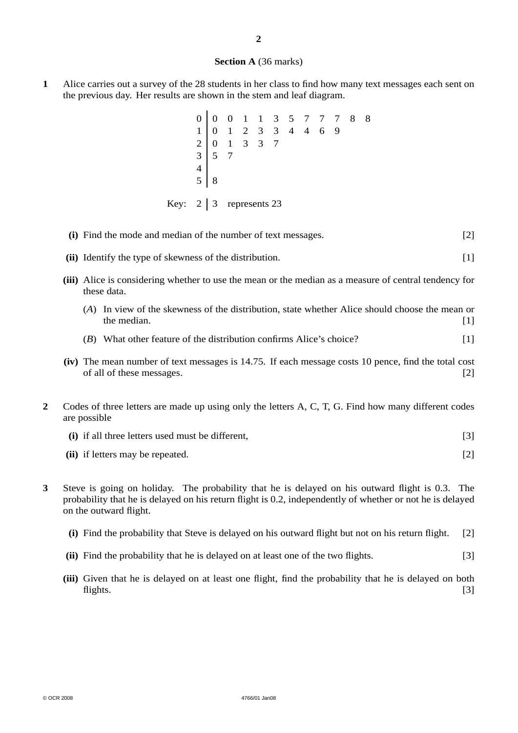#### **Section A** (36 marks)

**1** Alice carries out a survey of the 28 students in her class to find how many text messages each sent on the previous day. Her results are shown in the stem and leaf diagram.

 $\ddot{\phantom{a}}$ 

|  |                               |  |  | $\begin{array}{c cccccc} 0 & 0 & 0 & 1 & 1 & 3 & 5 & 7 & 7 & 7 & 8 & 8 \\ 1 & 0 & 1 & 2 & 3 & 3 & 4 & 4 & 6 & 9 \\ 2 & 0 & 1 & 3 & 3 & 7 & & & & & \\ 3 & 5 & 7 & & & & & & & & \\ 5 & 8 & & & & & & & & & \\ \end{array}$ |  |  |  |
|--|-------------------------------|--|--|----------------------------------------------------------------------------------------------------------------------------------------------------------------------------------------------------------------------------|--|--|--|
|  | Key: $2 \mid 3$ represents 23 |  |  |                                                                                                                                                                                                                            |  |  |  |

|                         | (i) Find the mode and median of the number of text messages.                                                                                                                                                                           | $[2]$ |
|-------------------------|----------------------------------------------------------------------------------------------------------------------------------------------------------------------------------------------------------------------------------------|-------|
|                         | (ii) Identify the type of skewness of the distribution.                                                                                                                                                                                | $[1]$ |
|                         | (iii) Alice is considering whether to use the mean or the median as a measure of central tendency for<br>these data.                                                                                                                   |       |
|                         | (A) In view of the skewness of the distribution, state whether Alice should choose the mean or<br>the median.                                                                                                                          | $[1]$ |
|                         | (B) What other feature of the distribution confirms Alice's choice?                                                                                                                                                                    | $[1]$ |
|                         | (iv) The mean number of text messages is 14.75. If each message costs 10 pence, find the total cost<br>of all of these messages.                                                                                                       | $[2]$ |
| 2                       | Codes of three letters are made up using only the letters A, C, T, G. Find how many different codes<br>are possible                                                                                                                    |       |
|                         | (i) if all three letters used must be different,                                                                                                                                                                                       | $[3]$ |
|                         | (ii) if letters may be repeated.                                                                                                                                                                                                       | $[2]$ |
| $\overline{\mathbf{3}}$ | Steve is going on holiday. The probability that he is delayed on his outward flight is 0.3. The<br>probability that he is delayed on his return flight is 0.2, independently of whether or not he is delayed<br>on the outward flight. |       |

- **(i)** Find the probability that Steve is delayed on his outward flight but not on his return flight. [2]
- **(ii)** Find the probability that he is delayed on at least one of the two flights. [3]
- **(iii)** Given that he is delayed on at least one flight, find the probability that he is delayed on both flights. [3]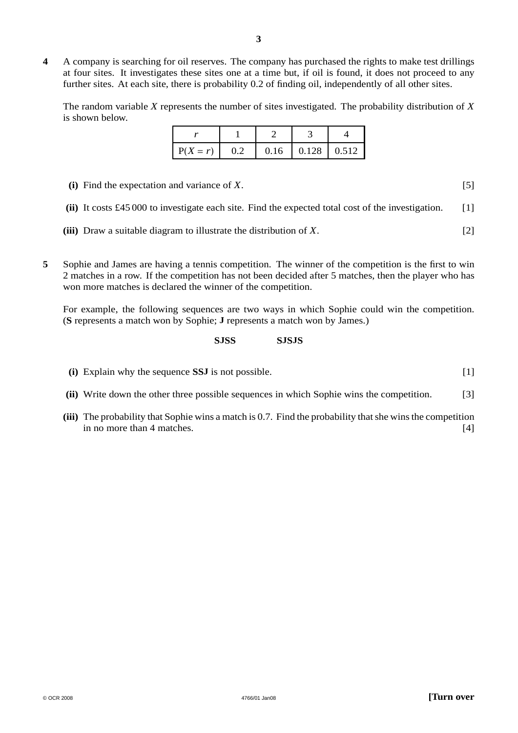**4** A company is searching for oil reserves. The company has purchased the rights to make test drillings at four sites. It investigates these sites one at a time but, if oil is found, it does not proceed to any further sites. At each site, there is probability 0.2 of finding oil, independently of all other sites.

The random variable *X* represents the number of sites investigated. The probability distribution of *X* is shown below.

| $P(X = r)$ | 0.16 | $\vert 0.128 \vert 0.512$ |  |
|------------|------|---------------------------|--|

- **(i)** Find the expectation and variance of *X*. [5]
- **(ii)** It costs £45 000 to investigate each site. Find the expected total cost of the investigation. [1]
- **(iii)** Draw a suitable diagram to illustrate the distribution of *X*. [2]
- **5** Sophie and James are having a tennis competition. The winner of the competition is the first to win 2 matches in a row. If the competition has not been decided after 5 matches, then the player who has won more matches is declared the winner of the competition.

For example, the following sequences are two ways in which Sophie could win the competition. (**S** represents a match won by Sophie; **J** represents a match won by James.)

### **SJSS SJSJS**

- **(i)** Explain why the sequence **SSJ** is not possible. [1]
- **(ii)** Write down the other three possible sequences in which Sophie wins the competition. [3]
- **(iii)** The probability that Sophie wins a match is 0.7. Find the probability that she wins the competition in no more than 4 matches. [4]